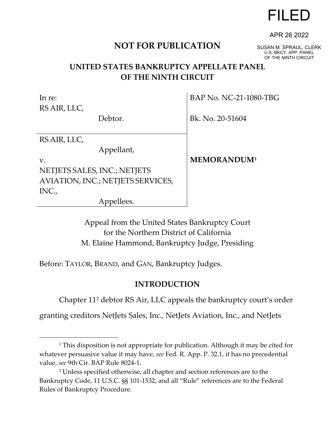# FILED

## **NOT FOR PUBLICATION**

SUSAN M. SPRAUL, CLERK U.S. BKCY. APP. PANEL OF THE NINTH CIRCUIT

APR 26 2022

## **UNITED STATES BANKRUPTCY APPELLATE PANEL OF THE NINTH CIRCUIT**

In re: RS AIR, LLC,

Debtor.

BAP No. NC-21-1080-TBG

Bk. No. 20-51604

RS AIR, LLC,

Appellant,

v. NETJETS SALES, INC.; NETJETS AVIATION, INC.; NETJETS SERVICES, INC.,

Appellees.

**MEMORANDUM[1](#page-0-0)**

Appeal from the United States Bankruptcy Court for the Northern District of California M. Elaine Hammond, Bankruptcy Judge, Presiding

Before: TAYLOR, BRAND, and GAN, Bankruptcy Judges.

### **INTRODUCTION**

Chapter 11[2](#page-0-1) debtor RS Air, LLC appeals the bankruptcy court's order

granting creditors NetJets Sales, Inc., NetJets Aviation, Inc., and NetJets

<span id="page-0-0"></span><sup>&</sup>lt;sup>1</sup> This disposition is not appropriate for publication. Although it may be cited for whatever persuasive value it may have, *see* Fed. R. App. P. 32.1, it has no precedential value, *see* 9th Cir. BAP Rule 8024-1.

<span id="page-0-1"></span><sup>2</sup> Unless specified otherwise, all chapter and section references are to the Bankruptcy Code, 11 U.S.C. §§ 101-1532, and all "Rule" references are to the Federal Rules of Bankruptcy Procedure.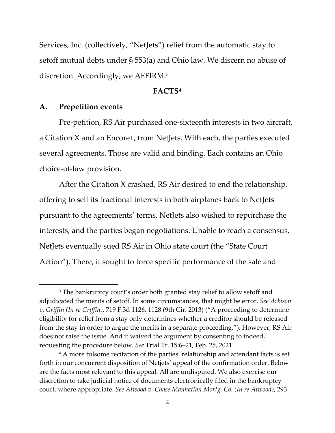Services, Inc. (collectively, "NetJets") relief from the automatic stay to setoff mutual debts under § 553(a) and Ohio law. We discern no abuse of discretion. Accordingly, we AFFIRM.[3](#page-1-0)

#### **FACTS[4](#page-1-1)**

#### **A. Prepetition events**

Pre-petition, RS Air purchased one-sixteenth interests in two aircraft, a Citation X and an Encore+, from NetJets. With each, the parties executed several agreements. Those are valid and binding. Each contains an Ohio choice-of-law provision.

After the Citation X crashed, RS Air desired to end the relationship, offering to sell its fractional interests in both airplanes back to NetJets pursuant to the agreements' terms. NetJets also wished to repurchase the interests, and the parties began negotiations. Unable to reach a consensus, NetJets eventually sued RS Air in Ohio state court (the "State Court Action"). There, it sought to force specific performance of the sale and

<span id="page-1-0"></span><sup>&</sup>lt;sup>3</sup> The bankruptcy court's order both granted stay relief to allow setoff and adjudicated the merits of setoff. In some circumstances, that might be error. *See Arkison v. Griffin (In re Griffin)*, 719 F.3d 1126, 1128 (9th Cir. 2013) ("A proceeding to determine eligibility for relief from a stay only determines whether a creditor should be released from the stay in order to argue the merits in a separate proceeding."). However, RS Air does not raise the issue. And it waived the argument by consenting to indeed, requesting the procedure below. *See* Trial Tr. 15:6–21, Feb. 25, 2021.

<span id="page-1-1"></span><sup>&</sup>lt;sup>4</sup> A more fulsome recitation of the parties' relationship and attendant facts is set forth in our concurrent disposition of Netjets' appeal of the confirmation order. Below are the facts most relevant to this appeal. All are undisputed. We also exercise our discretion to take judicial notice of documents electronically filed in the bankruptcy court, where appropriate. *See Atwood v. Chase Manhattan Mortg. Co. (In re Atwood)*, 293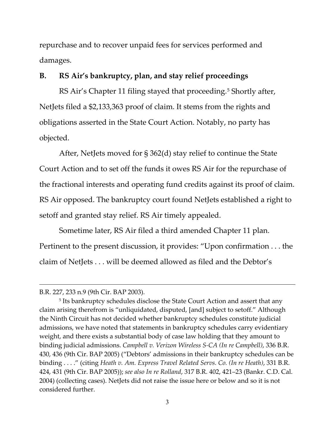repurchase and to recover unpaid fees for services performed and damages.

#### **B. RS Air's bankruptcy, plan, and stay relief proceedings**

RS Air's Chapter 11 filing stayed that proceeding. [5](#page-2-0) Shortly after, NetJets filed a \$2,133,363 proof of claim. It stems from the rights and obligations asserted in the State Court Action. Notably, no party has objected.

After, NetJets moved for § 362(d) stay relief to continue the State Court Action and to set off the funds it owes RS Air for the repurchase of the fractional interests and operating fund credits against its proof of claim. RS Air opposed. The bankruptcy court found NetJets established a right to setoff and granted stay relief. RS Air timely appealed.

Sometime later, RS Air filed a third amended Chapter 11 plan. Pertinent to the present discussion, it provides: "Upon confirmation . . . the claim of NetJets . . . will be deemed allowed as filed and the Debtor's

<span id="page-2-0"></span><sup>5</sup> Its bankruptcy schedules disclose the State Court Action and assert that any claim arising therefrom is "unliquidated, disputed, [and] subject to setoff." Although the Ninth Circuit has not decided whether bankruptcy schedules constitute judicial admissions, we have noted that statements in bankruptcy schedules carry evidentiary weight, and there exists a substantial body of case law holding that they amount to binding judicial admissions. *Campbell v. Verizon Wireless S-CA (In re Campbell)*, 336 B.R. 430, 436 (9th Cir. BAP 2005) ("Debtors' admissions in their bankruptcy schedules can be binding . . . ." (citing *Heath v. Am. Express Travel Related Servs. Co. (In re Heath)*, 331 B.R. 424, 431 (9th Cir. BAP 2005)); *see also In re Rolland*, 317 B.R. 402, 421–23 (Bankr. C.D. Cal. 2004) (collecting cases). NetJets did not raise the issue here or below and so it is not considered further.

B.R. 227, 233 n.9 (9th Cir. BAP 2003).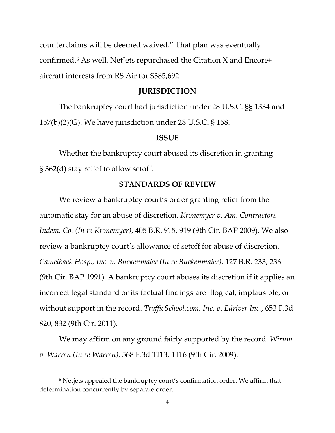counterclaims will be deemed waived." That plan was eventually confirmed. [6](#page-3-0) As well, NetJets repurchased the Citation X and Encore+ aircraft interests from RS Air for \$385,692.

#### **JURISDICTION**

The bankruptcy court had jurisdiction under 28 U.S.C. §§ 1334 and 157(b)(2)(G). We have jurisdiction under 28 U.S.C. § 158.

#### **ISSUE**

Whether the bankruptcy court abused its discretion in granting § 362(d) stay relief to allow setoff.

#### **STANDARDS OF REVIEW**

We review a bankruptcy court's order granting relief from the automatic stay for an abuse of discretion. *Kronemyer v. Am. Contractors Indem. Co. (In re Kronemyer)*, 405 B.R. 915, 919 (9th Cir. BAP 2009). We also review a bankruptcy court's allowance of setoff for abuse of discretion. *Camelback Hosp., Inc. v. Buckenmaier (In re Buckenmaier)*, 127 B.R. 233, 236 (9th Cir. BAP 1991). A bankruptcy court abuses its discretion if it applies an incorrect legal standard or its factual findings are illogical, implausible, or without support in the record. *TrafficSchool.com, Inc. v. Edriver Inc.*, 653 F.3d 820, 832 (9th Cir. 2011).

We may affirm on any ground fairly supported by the record. *Wirum v. Warren (In re Warren)*, 568 F.3d 1113, 1116 (9th Cir. 2009).

<span id="page-3-0"></span><sup>6</sup> Netjets appealed the bankruptcy court's confirmation order. We affirm that determination concurrently by separate order.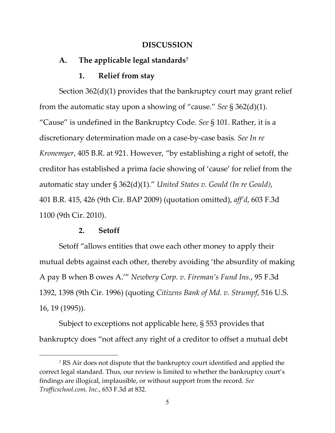#### **DISCUSSION**

#### **A. The applicable legal standards[7](#page-4-0)**

#### **1. Relief from stay**

Section 362(d)(1) provides that the bankruptcy court may grant relief from the automatic stay upon a showing of "cause." *See* § 362(d)(1). "Cause" is undefined in the Bankruptcy Code. *See* § 101. Rather, it is a discretionary determination made on a case-by-case basis. *See In re Kronemyer*, 405 B.R. at 921. However, "by establishing a right of setoff, the creditor has established a prima facie showing of 'cause' for relief from the automatic stay under § 362(d)(1)." *United States v. Gould (In re Gould)*, 401 B.R. 415, 426 (9th Cir. BAP 2009) (quotation omitted), *aff'd*, 603 F.3d 1100 (9th Cir. 2010).

#### **2. Setoff**

Setoff "allows entities that owe each other money to apply their mutual debts against each other, thereby avoiding 'the absurdity of making A pay B when B owes A.'" *Newbery Corp. v. Fireman's Fund Ins.*, 95 F.3d 1392, 1398 (9th Cir. 1996) (quoting *Citizens Bank of Md. v. Strumpf*, 516 U.S. 16, 19 (1995)).

Subject to exceptions not applicable here, § 553 provides that bankruptcy does "not affect any right of a creditor to offset a mutual debt

<span id="page-4-0"></span><sup>7</sup> RS Air does not dispute that the bankruptcy court identified and applied the correct legal standard. Thus, our review is limited to whether the bankruptcy court's findings are illogical, implausible, or without support from the record. *See Trafficschool.com, Inc.*, 653 F.3d at 832.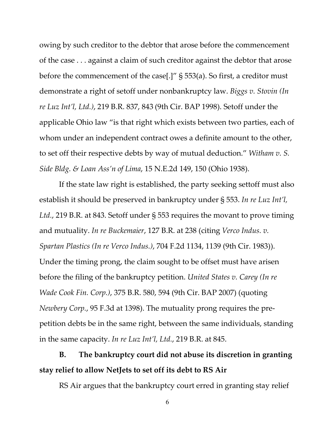owing by such creditor to the debtor that arose before the commencement of the case . . . against a claim of such creditor against the debtor that arose before the commencement of the case[.]" § 553(a). So first, a creditor must demonstrate a right of setoff under nonbankruptcy law. *Biggs v. Stovin (In re Luz Int'l, Ltd.)*, 219 B.R. 837, 843 (9th Cir. BAP 1998). Setoff under the applicable Ohio law "is that right which exists between two parties, each of whom under an independent contract owes a definite amount to the other, to set off their respective debts by way of mutual deduction." *Witham v. S. Side Bldg. & Loan Ass'n of Lima*, 15 N.E.2d 149, 150 (Ohio 1938).

If the state law right is established, the party seeking settoff must also establish it should be preserved in bankruptcy under § 553. *In re Luz Int'l, Ltd.*, 219 B.R. at 843. Setoff under § 553 requires the movant to prove timing and mutuality. *In re Buckemaier*, 127 B.R. at 238 (citing *Verco Indus. v. Spartan Plastics (In re Verco Indus.)*, 704 F.2d 1134, 1139 (9th Cir. 1983)). Under the timing prong, the claim sought to be offset must have arisen before the filing of the bankruptcy petition. *United States v. Carey (In re Wade Cook Fin. Corp.)*, 375 B.R. 580, 594 (9th Cir. BAP 2007) (quoting *Newbery Corp.*, 95 F.3d at 1398). The mutuality prong requires the prepetition debts be in the same right, between the same individuals, standing in the same capacity. *In re Luz Int'l, Ltd.*, 219 B.R. at 845.

**B. The bankruptcy court did not abuse its discretion in granting stay relief to allow NetJets to set off its debt to RS Air**

RS Air argues that the bankruptcy court erred in granting stay relief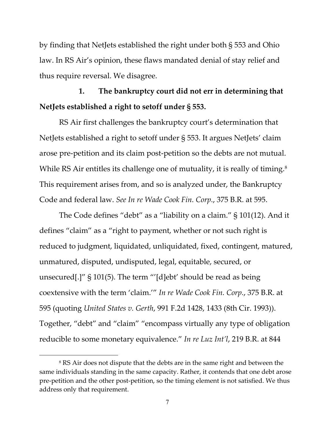by finding that NetJets established the right under both § 553 and Ohio law. In RS Air's opinion, these flaws mandated denial of stay relief and thus require reversal. We disagree.

# **1. The bankruptcy court did not err in determining that NetJets established a right to setoff under § 553.**

RS Air first challenges the bankruptcy court's determination that NetJets established a right to setoff under § 553. It argues NetJets' claim arose pre-petition and its claim post-petition so the debts are not mutual. While RS Air entitles its challenge one of mutuality, it is really of timing.<sup>[8](#page-6-0)</sup> This requirement arises from, and so is analyzed under, the Bankruptcy Code and federal law. *See In re Wade Cook Fin. Corp.*, 375 B.R. at 595.

The Code defines "debt" as a "liability on a claim." § 101(12). And it defines "claim" as a "right to payment, whether or not such right is reduced to judgment, liquidated, unliquidated, fixed, contingent, matured, unmatured, disputed, undisputed, legal, equitable, secured, or unsecured[.]" § 101(5). The term "'[d]ebt' should be read as being coextensive with the term 'claim.'" *In re Wade Cook Fin. Corp.*, 375 B.R. at 595 (quoting *United States v. Gerth*, 991 F.2d 1428, 1433 (8th Cir. 1993)). Together, "debt" and "claim" "encompass virtually any type of obligation reducible to some monetary equivalence." *In re Luz Int'l*, 219 B.R. at 844

<span id="page-6-0"></span><sup>&</sup>lt;sup>8</sup> RS Air does not dispute that the debts are in the same right and between the same individuals standing in the same capacity. Rather, it contends that one debt arose pre-petition and the other post-petition, so the timing element is not satisfied. We thus address only that requirement.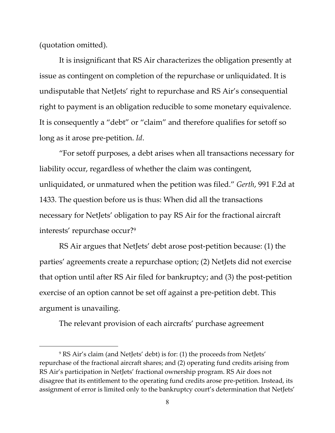(quotation omitted).

It is insignificant that RS Air characterizes the obligation presently at issue as contingent on completion of the repurchase or unliquidated. It is undisputable that NetJets' right to repurchase and RS Air's consequential right to payment is an obligation reducible to some monetary equivalence. It is consequently a "debt" or "claim" and therefore qualifies for setoff so long as it arose pre-petition. *Id*.

"For setoff purposes, a debt arises when all transactions necessary for liability occur, regardless of whether the claim was contingent, unliquidated, or unmatured when the petition was filed." *Gerth*, 991 F.2d at 1433. The question before us is thus: When did all the transactions necessary for NetJets' obligation to pay RS Air for the fractional aircraft interests' repurchase occur[?9](#page-7-0)

RS Air argues that NetJets' debt arose post-petition because: (1) the parties' agreements create a repurchase option; (2) NetJets did not exercise that option until after RS Air filed for bankruptcy; and (3) the post-petition exercise of an option cannot be set off against a pre-petition debt. This argument is unavailing.

The relevant provision of each aircrafts' purchase agreement

<span id="page-7-0"></span><sup>9</sup> RS Air's claim (and NetJets' debt) is for: (1) the proceeds from NetJets' repurchase of the fractional aircraft shares; and (2) operating fund credits arising from RS Air's participation in NetJets' fractional ownership program. RS Air does not disagree that its entitlement to the operating fund credits arose pre-petition. Instead, its assignment of error is limited only to the bankruptcy court's determination that NetJets'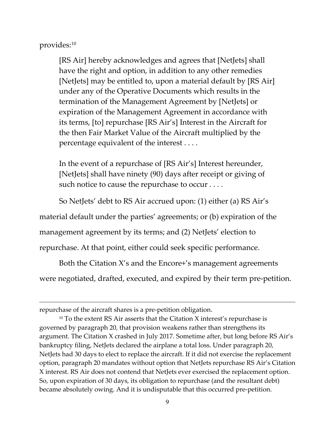provides:[10](#page-8-0)

[RS Air] hereby acknowledges and agrees that [NetJets] shall have the right and option, in addition to any other remedies [NetJets] may be entitled to, upon a material default by [RS Air] under any of the Operative Documents which results in the termination of the Management Agreement by [NetJets] or expiration of the Management Agreement in accordance with its terms, [to] repurchase [RS Air's] Interest in the Aircraft for the then Fair Market Value of the Aircraft multiplied by the percentage equivalent of the interest . . . .

In the event of a repurchase of [RS Air's] Interest hereunder, [NetJets] shall have ninety (90) days after receipt or giving of such notice to cause the repurchase to occur . . . .

So NetJets' debt to RS Air accrued upon: (1) either (a) RS Air's

material default under the parties' agreements; or (b) expiration of the

management agreement by its terms; and (2) NetJets' election to

repurchase. At that point, either could seek specific performance.

Both the Citation X's and the Encore+'s management agreements were negotiated, drafted, executed, and expired by their term pre-petition.

repurchase of the aircraft shares is a pre-petition obligation.

<span id="page-8-0"></span> $10$  To the extent RS Air asserts that the Citation X interest's repurchase is governed by paragraph 20, that provision weakens rather than strengthens its argument. The Citation X crashed in July 2017. Sometime after, but long before RS Air's bankruptcy filing, NetJets declared the airplane a total loss. Under paragraph 20, NetJets had 30 days to elect to replace the aircraft. If it did not exercise the replacement option, paragraph 20 mandates without option that NetJets repurchase RS Air's Citation X interest. RS Air does not contend that NetJets ever exercised the replacement option. So, upon expiration of 30 days, its obligation to repurchase (and the resultant debt) became absolutely owing. And it is undisputable that this occurred pre-petition.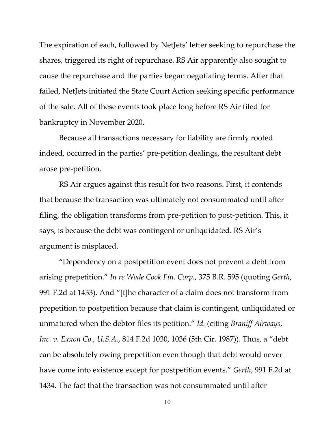The expiration of each, followed by NetJets' letter seeking to repurchase the shares, triggered its right of repurchase. RS Air apparently also sought to cause the repurchase and the parties began negotiating terms. After that failed, NetJets initiated the State Court Action seeking specific performance of the sale. All of these events took place long before RS Air filed for bankruptcy in November 2020.

Because all transactions necessary for liability are firmly rooted indeed, occurred in the parties' pre-petition dealings, the resultant debt arose pre-petition.

RS Air argues against this result for two reasons. First, it contends that because the transaction was ultimately not consummated until after filing, the obligation transforms from pre-petition to post-petition. This, it says, is because the debt was contingent or unliquidated. RS Air's argument is misplaced.

"Dependency on a postpetition event does not prevent a debt from arising prepetition." *In re Wade Cook Fin. Corp.*, 375 B.R. 595 (quoting *Gerth*, 991 F.2d at 1433). And "[t]he character of a claim does not transform from prepetition to postpetition because that claim is contingent, unliquidated or unmatured when the debtor files its petition." *Id.* (citing *Braniff Airways, Inc. v. Exxon Co., U.S.A.*, 814 F.2d 1030, 1036 (5th Cir. 1987)). Thus, a "debt can be absolutely owing prepetition even though that debt would never have come into existence except for postpetition events." *Gerth*, 991 F.2d at 1434*.* The fact that the transaction was not consummated until after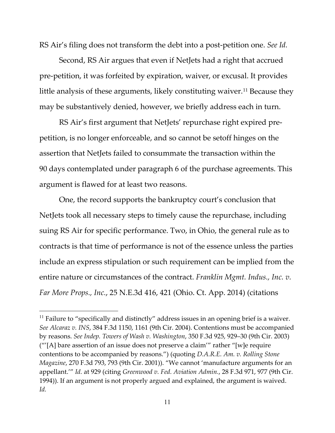RS Air's filing does not transform the debt into a post-petition one. *See Id.*

Second, RS Air argues that even if NetJets had a right that accrued pre-petition, it was forfeited by expiration, waiver, or excusal. It provides little analysis of these arguments, likely constituting waiver.<sup>[11](#page-10-0)</sup> Because they may be substantively denied, however, we briefly address each in turn.

RS Air's first argument that NetJets' repurchase right expired prepetition, is no longer enforceable, and so cannot be setoff hinges on the assertion that NetJets failed to consummate the transaction within the 90 days contemplated under paragraph 6 of the purchase agreements. This argument is flawed for at least two reasons.

One, the record supports the bankruptcy court's conclusion that NetJets took all necessary steps to timely cause the repurchase, including suing RS Air for specific performance. Two, in Ohio, the general rule as to contracts is that time of performance is not of the essence unless the parties include an express stipulation or such requirement can be implied from the entire nature or circumstances of the contract. *Franklin Mgmt. Indus., Inc. v. Far More Props., Inc.*, 25 N.E.3d 416, 421 (Ohio. Ct. App. 2014) (citations

<span id="page-10-0"></span> $11$  Failure to "specifically and distinctly" address issues in an opening brief is a waiver. *See Alcaraz v. INS*, 384 F.3d 1150, 1161 (9th Cir. 2004). Contentions must be accompanied by reasons. *See Indep. Towers of Wash v. Washington*, 350 F.3d 925, 929–30 (9th Cir. 2003) ("'[A] bare assertion of an issue does not preserve a claim'" rather "[w]e require contentions to be accompanied by reasons.") (quoting *D.A.R.E. Am. v. Rolling Stone Magazine*, 270 F.3d 793, 793 (9th Cir. 2001)). "We cannot 'manufacture arguments for an appellant.'" *Id.* at 929 (citing *Greenwood v. Fed. Aviation Admin.*, 28 F.3d 971, 977 (9th Cir. 1994)). If an argument is not properly argued and explained, the argument is waived. *Id.*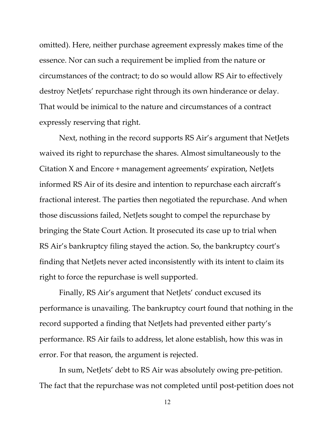omitted). Here, neither purchase agreement expressly makes time of the essence. Nor can such a requirement be implied from the nature or circumstances of the contract; to do so would allow RS Air to effectively destroy NetJets' repurchase right through its own hinderance or delay. That would be inimical to the nature and circumstances of a contract expressly reserving that right.

Next, nothing in the record supports RS Air's argument that NetJets waived its right to repurchase the shares. Almost simultaneously to the Citation X and Encore + management agreements' expiration, NetJets informed RS Air of its desire and intention to repurchase each aircraft's fractional interest. The parties then negotiated the repurchase. And when those discussions failed, NetJets sought to compel the repurchase by bringing the State Court Action. It prosecuted its case up to trial when RS Air's bankruptcy filing stayed the action. So, the bankruptcy court's finding that NetJets never acted inconsistently with its intent to claim its right to force the repurchase is well supported.

Finally, RS Air's argument that NetJets' conduct excused its performance is unavailing. The bankruptcy court found that nothing in the record supported a finding that NetJets had prevented either party's performance. RS Air fails to address, let alone establish, how this was in error. For that reason, the argument is rejected.

In sum, NetJets' debt to RS Air was absolutely owing pre-petition. The fact that the repurchase was not completed until post-petition does not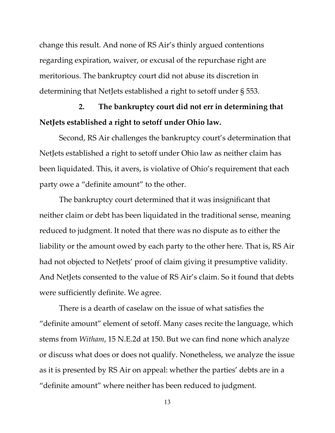change this result. And none of RS Air's thinly argued contentions regarding expiration, waiver, or excusal of the repurchase right are meritorious. The bankruptcy court did not abuse its discretion in determining that NetJets established a right to setoff under § 553.

# **2. The bankruptcy court did not err in determining that NetJets established a right to setoff under Ohio law.**

Second, RS Air challenges the bankruptcy court's determination that NetJets established a right to setoff under Ohio law as neither claim has been liquidated. This, it avers, is violative of Ohio's requirement that each party owe a "definite amount" to the other.

The bankruptcy court determined that it was insignificant that neither claim or debt has been liquidated in the traditional sense, meaning reduced to judgment. It noted that there was no dispute as to either the liability or the amount owed by each party to the other here. That is, RS Air had not objected to NetJets' proof of claim giving it presumptive validity. And NetJets consented to the value of RS Air's claim. So it found that debts were sufficiently definite. We agree.

There is a dearth of caselaw on the issue of what satisfies the "definite amount" element of setoff. Many cases recite the language, which stems from *Witham*, 15 N.E.2d at 150. But we can find none which analyze or discuss what does or does not qualify. Nonetheless, we analyze the issue as it is presented by RS Air on appeal: whether the parties' debts are in a "definite amount" where neither has been reduced to judgment.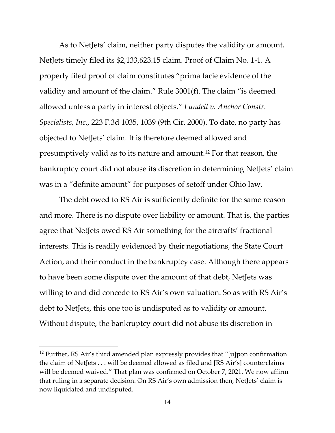As to NetJets' claim, neither party disputes the validity or amount. NetJets timely filed its \$2,133,623.15 claim. Proof of Claim No. 1-1. A properly filed proof of claim constitutes "prima facie evidence of the validity and amount of the claim." Rule 3001(f). The claim "is deemed allowed unless a party in interest objects." *Lundell v. Anchor Constr. Specialists, Inc.*, 223 F.3d 1035, 1039 (9th Cir. 2000). To date, no party has objected to NetJets' claim. It is therefore deemed allowed and presumptively valid as to its nature and amount. [12](#page-13-0) For that reason, the bankruptcy court did not abuse its discretion in determining NetJets' claim was in a "definite amount" for purposes of setoff under Ohio law.

The debt owed to RS Air is sufficiently definite for the same reason and more. There is no dispute over liability or amount. That is, the parties agree that NetJets owed RS Air something for the aircrafts' fractional interests. This is readily evidenced by their negotiations, the State Court Action, and their conduct in the bankruptcy case. Although there appears to have been some dispute over the amount of that debt, NetJets was willing to and did concede to RS Air's own valuation. So as with RS Air's debt to NetJets, this one too is undisputed as to validity or amount. Without dispute, the bankruptcy court did not abuse its discretion in

<span id="page-13-0"></span> $12$  Further, RS Air's third amended plan expressly provides that "[u]pon confirmation the claim of NetJets . . . will be deemed allowed as filed and [RS Air's] counterclaims will be deemed waived." That plan was confirmed on October 7, 2021. We now affirm that ruling in a separate decision. On RS Air's own admission then, NetJets' claim is now liquidated and undisputed.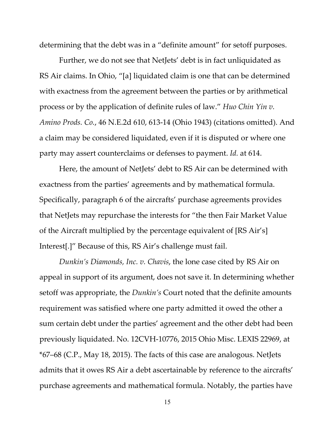determining that the debt was in a "definite amount" for setoff purposes.

Further, we do not see that NetJets' debt is in fact unliquidated as RS Air claims. In Ohio, "[a] liquidated claim is one that can be determined with exactness from the agreement between the parties or by arithmetical process or by the application of definite rules of law." *Huo Chin Yin v. Amino Prods. Co.*, 46 N.E.2d 610, 613-14 (Ohio 1943) (citations omitted). And a claim may be considered liquidated, even if it is disputed or where one party may assert counterclaims or defenses to payment. *Id.* at 614.

Here, the amount of NetJets' debt to RS Air can be determined with exactness from the parties' agreements and by mathematical formula. Specifically, paragraph 6 of the aircrafts' purchase agreements provides that NetJets may repurchase the interests for "the then Fair Market Value of the Aircraft multiplied by the percentage equivalent of [RS Air's] Interest[.]" Because of this, RS Air's challenge must fail.

*Dunkin's Diamonds, Inc. v. Chavis*, the lone case cited by RS Air on appeal in support of its argument, does not save it. In determining whether setoff was appropriate, the *Dunkin's* Court noted that the definite amounts requirement was satisfied where one party admitted it owed the other a sum certain debt under the parties' agreement and the other debt had been previously liquidated. No. 12CVH-10776, 2015 Ohio Misc. LEXIS 22969, at \*67–68 (C.P., May 18, 2015). The facts of this case are analogous. NetJets admits that it owes RS Air a debt ascertainable by reference to the aircrafts' purchase agreements and mathematical formula. Notably, the parties have